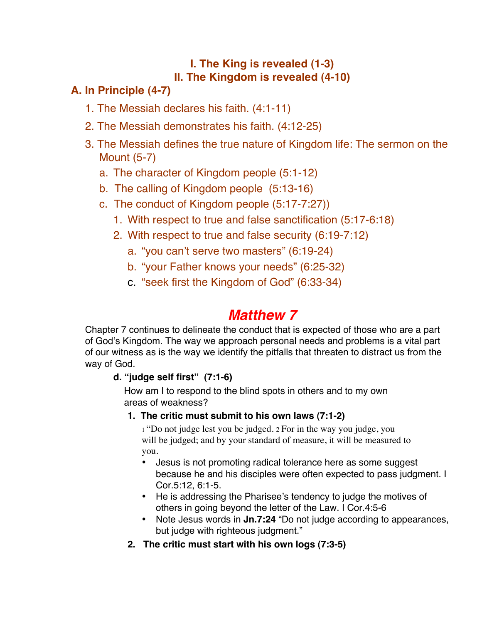## **I. The King is revealed (1-3) II. The Kingdom is revealed (4-10)**

# **A. In Principle (4-7)**

- 1. The Messiah declares his faith. (4:1-11)
- 2. The Messiah demonstrates his faith. (4:12-25)
- 3. The Messiah defines the true nature of Kingdom life: The sermon on the Mount (5-7)
	- a. The character of Kingdom people (5:1-12)
	- b. The calling of Kingdom people (5:13-16)
	- c. The conduct of Kingdom people (5:17-7:27))
		- 1. With respect to true and false sanctification (5:17-6:18)
		- 2. With respect to true and false security (6:19-7:12)
			- a. "you can't serve two masters" (6:19-24)
			- b. "your Father knows your needs" (6:25-32)
			- c. "seek first the Kingdom of God" (6:33-34)

# *Matthew 7*

Chapter 7 continues to delineate the conduct that is expected of those who are a part of God's Kingdom. The way we approach personal needs and problems is a vital part of our witness as is the way we identify the pitfalls that threaten to distract us from the way of God.

## **d. "judge self first" (7:1-6)**

How am I to respond to the blind spots in others and to my own areas of weakness?

### **1. The critic must submit to his own laws (7:1-2)**

1 "Do not judge lest you be judged. 2 For in the way you judge, you will be judged; and by your standard of measure, it will be measured to you.

- Jesus is not promoting radical tolerance here as some suggest because he and his disciples were often expected to pass judgment. I Cor.5:12, 6:1-5.
- He is addressing the Pharisee's tendency to judge the motives of others in going beyond the letter of the Law. I Cor.4:5-6
- Note Jesus words in **Jn.7:24** "Do not judge according to appearances, but judge with righteous judgment."
- **2. The critic must start with his own logs (7:3-5)**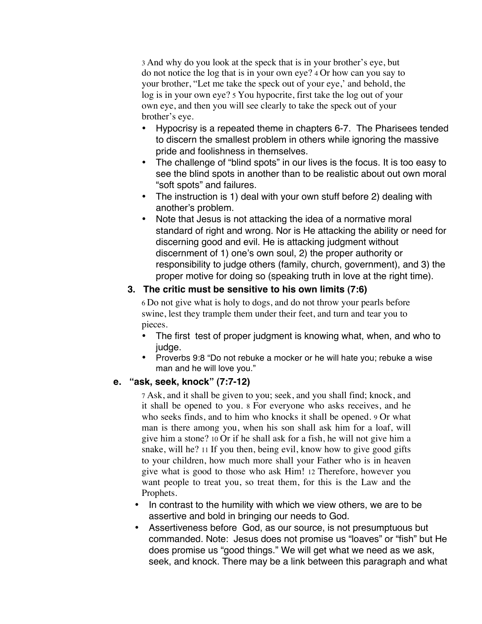3 And why do you look at the speck that is in your brother's eye, but do not notice the log that is in your own eye? 4 Or how can you say to your brother, "Let me take the speck out of your eye,' and behold, the log is in your own eye? 5 You hypocrite, first take the log out of your own eye, and then you will see clearly to take the speck out of your brother's eye.

- Hypocrisy is a repeated theme in chapters 6-7. The Pharisees tended to discern the smallest problem in others while ignoring the massive pride and foolishness in themselves.
- The challenge of "blind spots" in our lives is the focus. It is too easy to see the blind spots in another than to be realistic about out own moral "soft spots" and failures.
- The instruction is 1) deal with your own stuff before 2) dealing with another's problem.
- Note that Jesus is not attacking the idea of a normative moral standard of right and wrong. Nor is He attacking the ability or need for discerning good and evil. He is attacking judgment without discernment of 1) one's own soul, 2) the proper authority or responsibility to judge others (family, church, government), and 3) the proper motive for doing so (speaking truth in love at the right time).

#### **3. The critic must be sensitive to his own limits (7:6)**

6 Do not give what is holy to dogs, and do not throw your pearls before swine, lest they trample them under their feet, and turn and tear you to pieces.

- The first test of proper judgment is knowing what, when, and who to judge.
- Proverbs 9:8 "Do not rebuke a mocker or he will hate you; rebuke a wise man and he will love you."

#### **e. "ask, seek, knock" (7:7-12)**

7 Ask, and it shall be given to you; seek, and you shall find; knock, and it shall be opened to you. 8 For everyone who asks receives, and he who seeks finds, and to him who knocks it shall be opened. 9 Or what man is there among you, when his son shall ask him for a loaf, will give him a stone? 10 Or if he shall ask for a fish, he will not give him a snake, will he? 11 If you then, being evil, know how to give good gifts to your children, how much more shall your Father who is in heaven give what is good to those who ask Him! 12 Therefore, however you want people to treat you, so treat them, for this is the Law and the Prophets.

- In contrast to the humility with which we view others, we are to be assertive and bold in bringing our needs to God.
- Assertiveness before God, as our source, is not presumptuous but commanded. Note: Jesus does not promise us "loaves" or "fish" but He does promise us "good things." We will get what we need as we ask, seek, and knock. There may be a link between this paragraph and what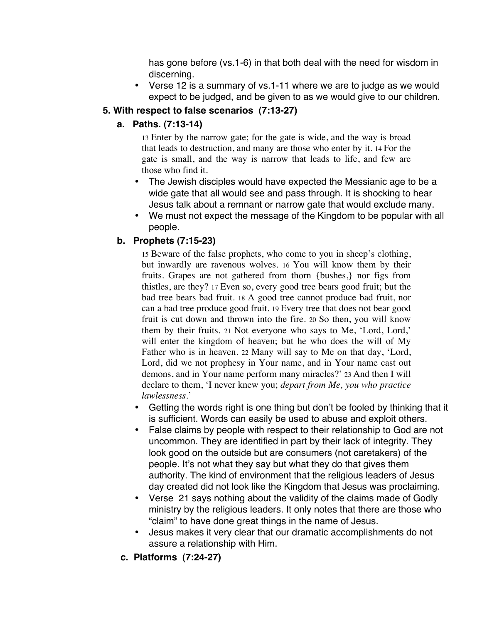has gone before (vs.1-6) in that both deal with the need for wisdom in discerning.

• Verse 12 is a summary of vs.1-11 where we are to judge as we would expect to be judged, and be given to as we would give to our children.

#### **5. With respect to false scenarios (7:13-27)**

#### **a. Paths. (7:13-14)**

13 Enter by the narrow gate; for the gate is wide, and the way is broad that leads to destruction, and many are those who enter by it. 14 For the gate is small, and the way is narrow that leads to life, and few are those who find it.

- The Jewish disciples would have expected the Messianic age to be a wide gate that all would see and pass through. It is shocking to hear Jesus talk about a remnant or narrow gate that would exclude many.
- We must not expect the message of the Kingdom to be popular with all people.

#### **b. Prophets (7:15-23)**

15 Beware of the false prophets, who come to you in sheep's clothing, but inwardly are ravenous wolves. 16 You will know them by their fruits. Grapes are not gathered from thorn {bushes,} nor figs from thistles, are they? 17 Even so, every good tree bears good fruit; but the bad tree bears bad fruit. 18 A good tree cannot produce bad fruit, nor can a bad tree produce good fruit. 19 Every tree that does not bear good fruit is cut down and thrown into the fire. 20 So then, you will know them by their fruits. 21 Not everyone who says to Me, 'Lord, Lord,' will enter the kingdom of heaven; but he who does the will of My Father who is in heaven. 22 Many will say to Me on that day, 'Lord, Lord, did we not prophesy in Your name, and in Your name cast out demons, and in Your name perform many miracles?' 23 And then I will declare to them, 'I never knew you; *depart from Me, you who practice lawlessness*.'

- Getting the words right is one thing but don't be fooled by thinking that it is sufficient. Words can easily be used to abuse and exploit others.
- False claims by people with respect to their relationship to God are not uncommon. They are identified in part by their lack of integrity. They look good on the outside but are consumers (not caretakers) of the people. It's not what they say but what they do that gives them authority. The kind of environment that the religious leaders of Jesus day created did not look like the Kingdom that Jesus was proclaiming.
- Verse 21 says nothing about the validity of the claims made of Godly ministry by the religious leaders. It only notes that there are those who "claim" to have done great things in the name of Jesus.
- Jesus makes it very clear that our dramatic accomplishments do not assure a relationship with Him.
- **c. Platforms (7:24-27)**